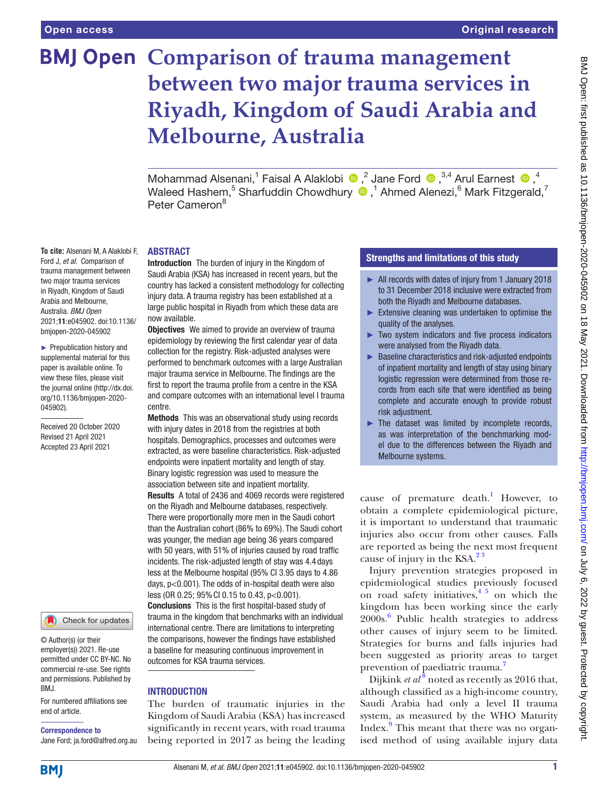**To cite:** Alsenani M, A Alaklobi F, Ford J, *et al*. Comparison of trauma management between two major trauma services in Riyadh, Kingdom of Saudi Arabia and Melbourne, Australia. *BMJ Open* 2021;11:e045902. doi:10.1136/ bmjopen-2020-045902 ► Prepublication history and supplemental material for this paper is available online. To view these files, please visit the journal online (http://dx.doi. org/10.1136/bmjopen-2020-

045902).

Received 20 October 2020 Revised 21 April 2021 Accepted 23 April 2021

# **BMJ Open Comparison of trauma management between two major trauma services in Riyadh, Kingdom of Saudi Arabia and Melbourne, Australia**

MohammadAlsenani,<sup>1</sup> Faisal A Alaklobi  $\bigcirc$ ,<sup>2</sup> Jane Ford  $\bigcirc$ ,<sup>3,4</sup> Arul Earnest  $\bigcirc$ ,<sup>4</sup> Waleed Hashem, $^5$  Sharfuddin Chowdhury  $\textcolor{blue}{\bullet}$  ,<sup>1</sup> Ahmed Alenezi, $^6$  Mark Fitzgerald,<sup>7</sup> Peter Cameron<sup>8</sup>

### ABSTRACT

Introduction The burden of injury in the Kingdom of Saudi Arabia (KSA) has increased in recent years, but the country has lacked a consistent methodology for collecting injury data. A trauma registry has been established at a large public hospital in Riyadh from which these data are now available.

**Objectives** We aimed to provide an overview of trauma epidemiology by reviewing the first calendar year of data collection for the registry. Risk-adjusted analyses were performed to benchmark outcomes with a large Australian major trauma service in Melbourne. The findings are the first to report the trauma profile from a centre in the KSA and compare outcomes with an international level I trauma centre.

Methods This was an observational study using records with injury dates in 2018 from the registries at both hospitals. Demographics, processes and outcomes were extracted, as were baseline characteristics. Risk-adjusted endpoints were inpatient mortality and length of stay. Binary logistic regression was used to measure the association between site and inpatient mortality. Results A total of 2436 and 4069 records were registered on the Riyadh and Melbourne databases, respectively. There were proportionally more men in the Saudi cohort than the Australian cohort (86% to 69%). The Saudi cohort was younger, the median age being 36 years compared with 50 years, with 51% of injuries caused by road traffic incidents. The risk-adjusted length of stay was 4.4 days less at the Melbourne hospital (95% CI 3.95 days to 4.86 days, p<0.001). The odds of in-hospital death were also less (OR 0.25; 95%CI 0.15 to 0.43, p<0.001). Conclusions This is the first hospital-based study of trauma in the kingdom that benchmarks with an individual international centre. There are limitations to interpreting the comparisons, however the findings have established a baseline for measuring continuous improvement in outcomes for KSA trauma services.

## INTRODUCTION

The burden of traumatic injuries in the Kingdom of Saudi Arabia (KSA) has increased significantly in recent years, with road trauma being reported in 2017 as being the leading

## Strengths and limitations of this study

- ► All records with dates of injury from 1 January 2018 to 31 December 2018 inclusive were extracted from both the Riyadh and Melbourne databases.
- $\blacktriangleright$  Extensive cleaning was undertaken to optimise the quality of the analyses.
- ► Two system indicators and five process indicators were analysed from the Riyadh data.
- ► Baseline characteristics and risk-adjusted endpoints of inpatient mortality and length of stay using binary logistic regression were determined from those records from each site that were identified as being complete and accurate enough to provide robust risk adjustment.
- $\blacktriangleright$  The dataset was limited by incomplete records, as was interpretation of the benchmarking model due to the differences between the Riyadh and Melbourne systems.

cause of premature death.<sup>[1](#page-8-0)</sup> However, to obtain a complete epidemiological picture, it is important to understand that traumatic injuries also occur from other causes. Falls are reported as being the next most frequent cause of injury in the KSA. $2<sup>3</sup>$ 

Injury prevention strategies proposed in epidemiological studies previously focused on road safety initiatives, $4\frac{1}{2}$  on which the kingdom has been working since the early 2000s.[6](#page-8-3) Public health strategies to address other causes of injury seem to be limited. Strategies for burns and falls injuries had been suggested as priority areas to target prevention of paediatric trauma.<sup>[7](#page-8-4)</sup>

Dijkink *et al*<sup>[8](#page-8-5)</sup> noted as recently as 2016 that, although classified as a high-income country, Saudi Arabia had only a level II trauma system, as measured by the WHO Maturity Index.<sup>[9](#page-8-6)</sup> This meant that there was no organised method of using available injury data

**BMI** 

end of article.

RM<sub>J</sub>

Correspondence to

© Author(s) (or their employer(s)) 2021. Re-use permitted under CC BY-NC. No commercial re-use. See rights and permissions. Published by

For numbered affiliations see

Check for updates

Jane Ford; ja.ford@alfred.org.au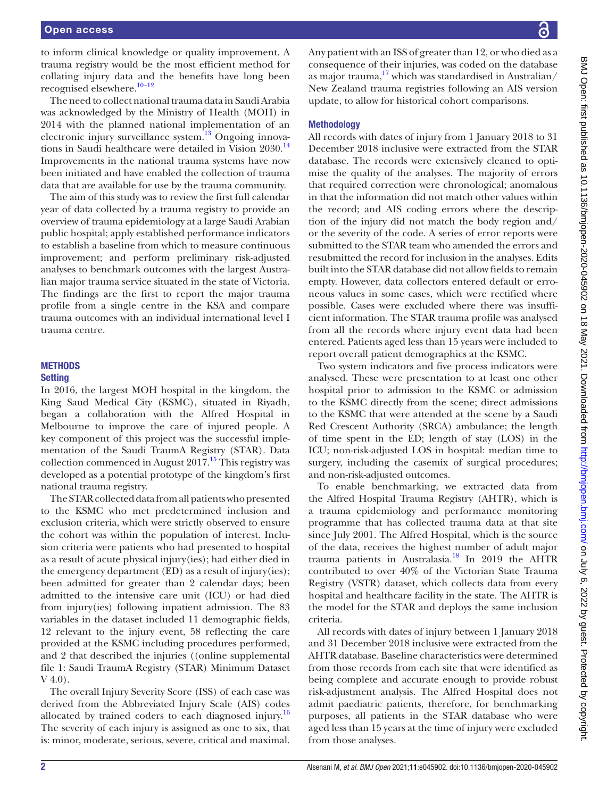to inform clinical knowledge or quality improvement. A trauma registry would be the most efficient method for collating injury data and the benefits have long been recognised elsewhere.<sup>10-12</sup>

The need to collect national trauma data in Saudi Arabia was acknowledged by the Ministry of Health (MOH) in 2014 with the planned national implementation of an electronic injury surveillance system.<sup>13</sup> Ongoing innovations in Saudi healthcare were detailed in Vision 2030.<sup>14</sup> Improvements in the national trauma systems have now been initiated and have enabled the collection of trauma data that are available for use by the trauma community.

The aim of this study was to review the first full calendar year of data collected by a trauma registry to provide an overview of trauma epidemiology at a large Saudi Arabian public hospital; apply established performance indicators to establish a baseline from which to measure continuous improvement; and perform preliminary risk-adjusted analyses to benchmark outcomes with the largest Australian major trauma service situated in the state of Victoria. The findings are the first to report the major trauma profile from a single centre in the KSA and compare trauma outcomes with an individual international level I trauma centre.

## **METHODS Setting**

In 2016, the largest MOH hospital in the kingdom, the King Saud Medical City (KSMC), situated in Riyadh, began a collaboration with the Alfred Hospital in Melbourne to improve the care of injured people. A key component of this project was the successful implementation of the Saudi TraumA Registry (STAR). Data collection commenced in August  $2017<sup>15</sup>$  This registry was developed as a potential prototype of the kingdom's first national trauma registry.

The STAR collected data from all patients who presented to the KSMC who met predetermined inclusion and exclusion criteria, which were strictly observed to ensure the cohort was within the population of interest. Inclusion criteria were patients who had presented to hospital as a result of acute physical injury(ies); had either died in the emergency department (ED) as a result of injury(ies); been admitted for greater than 2 calendar days; been admitted to the intensive care unit (ICU) or had died from injury(ies) following inpatient admission. The 83 variables in the dataset included 11 demographic fields, 12 relevant to the injury event, 58 reflecting the care provided at the KSMC including procedures performed, and 2 that described the injuries (([online supplemental](https://dx.doi.org/10.1136/bmjopen-2020-045902) [file 1:](https://dx.doi.org/10.1136/bmjopen-2020-045902) Saudi TraumA Registry (STAR) Minimum Dataset V 4.0).

The overall Injury Severity Score (ISS) of each case was derived from the Abbreviated Injury Scale (AIS) codes allocated by trained coders to each diagnosed injury.<sup>16</sup> The severity of each injury is assigned as one to six, that is: minor, moderate, serious, severe, critical and maximal.

Any patient with an ISS of greater than 12, or who died as a consequence of their injuries, was coded on the database as major trauma, $17$  which was standardised in Australian/ New Zealand trauma registries following an AIS version update, to allow for historical cohort comparisons.

## **Methodology**

All records with dates of injury from 1 January 2018 to 31 December 2018 inclusive were extracted from the STAR database. The records were extensively cleaned to optimise the quality of the analyses. The majority of errors that required correction were chronological; anomalous in that the information did not match other values within the record; and AIS coding errors where the description of the injury did not match the body region and/ or the severity of the code. A series of error reports were submitted to the STAR team who amended the errors and resubmitted the record for inclusion in the analyses. Edits built into the STAR database did not allow fields to remain empty. However, data collectors entered default or erroneous values in some cases, which were rectified where possible. Cases were excluded where there was insufficient information. The STAR trauma profile was analysed from all the records where injury event data had been entered. Patients aged less than 15 years were included to report overall patient demographics at the KSMC.

Two system indicators and five process indicators were analysed. These were presentation to at least one other hospital prior to admission to the KSMC or admission to the KSMC directly from the scene; direct admissions to the KSMC that were attended at the scene by a Saudi Red Crescent Authority (SRCA) ambulance; the length of time spent in the ED; length of stay (LOS) in the ICU; non-risk-adjusted LOS in hospital: median time to surgery, including the casemix of surgical procedures; and non-risk-adjusted outcomes.

To enable benchmarking, we extracted data from the Alfred Hospital Trauma Registry (AHTR), which is a trauma epidemiology and performance monitoring programme that has collected trauma data at that site since July 2001. The Alfred Hospital, which is the source of the data, receives the highest number of adult major trauma patients in Australasia.[18](#page-8-13) In 2019 the AHTR contributed to over 40% of the Victorian State Trauma Registry (VSTR) dataset, which collects data from every hospital and healthcare facility in the state. The AHTR is the model for the STAR and deploys the same inclusion criteria.

All records with dates of injury between 1 January 2018 and 31 December 2018 inclusive were extracted from the AHTR database. Baseline characteristics were determined from those records from each site that were identified as being complete and accurate enough to provide robust risk-adjustment analysis. The Alfred Hospital does not admit paediatric patients, therefore, for benchmarking purposes, all patients in the STAR database who were aged less than 15 years at the time of injury were excluded from those analyses.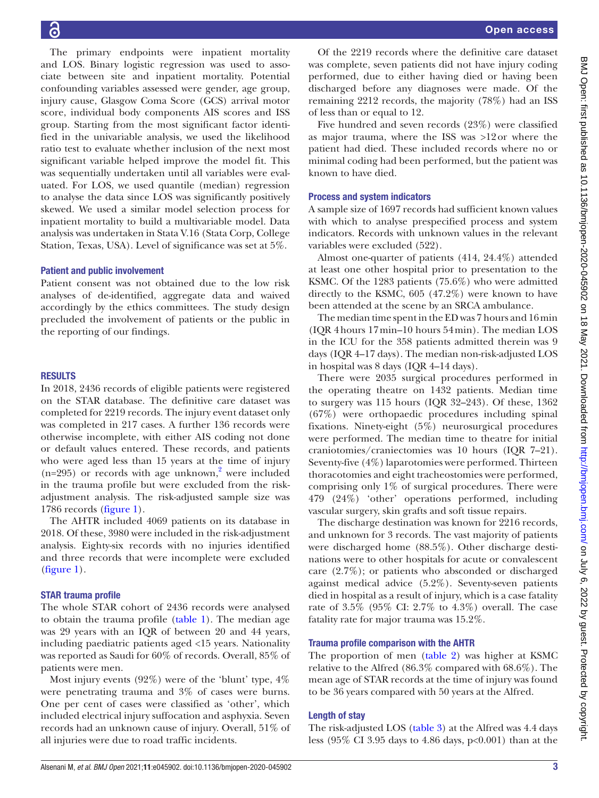6

The primary endpoints were inpatient mortality and LOS. Binary logistic regression was used to associate between site and inpatient mortality. Potential confounding variables assessed were gender, age group, injury cause, Glasgow Coma Score (GCS) arrival motor score, individual body components AIS scores and ISS group. Starting from the most significant factor identified in the univariable analysis, we used the likelihood ratio test to evaluate whether inclusion of the next most significant variable helped improve the model fit. This was sequentially undertaken until all variables were evaluated. For LOS, we used quantile (median) regression to analyse the data since LOS was significantly positively skewed. We used a similar model selection process for inpatient mortality to build a multivariable model. Data analysis was undertaken in Stata V.16 (Stata Corp, College Station, Texas, USA). Level of significance was set at 5%.

## Patient and public involvement

Patient consent was not obtained due to the low risk analyses of de-identified, aggregate data and waived accordingly by the ethics committees. The study design precluded the involvement of patients or the public in the reporting of our findings.

#### RESULTS

In 2018, 2436 records of eligible patients were registered on the STAR database. The definitive care dataset was completed for 2219 records. The injury event dataset only was completed in 217 cases. A further 136 records were otherwise incomplete, with either AIS coding not done or default values entered. These records, and patients who were aged less than 15 years at the time of injury  $(n=295)$  or records with age unknown,<sup>2</sup> were included in the trauma profile but were excluded from the riskadjustment analysis. The risk-adjusted sample size was 1786 records [\(figure](#page-3-0) 1).

The AHTR included 4069 patients on its database in 2018. Of these, 3980 were included in the risk-adjustment analysis. Eighty-six records with no injuries identified and three records that were incomplete were excluded ([figure](#page-3-0) 1).

## STAR trauma profile

The whole STAR cohort of 2436 records were analysed to obtain the trauma profile ([table](#page-4-0) 1). The median age was 29 years with an IQR of between 20 and 44 years, including paediatric patients aged <15 years. Nationality was reported as Saudi for 60% of records. Overall, 85% of patients were men.

Most injury events (92%) were of the 'blunt' type, 4% were penetrating trauma and 3% of cases were burns. One per cent of cases were classified as 'other', which included electrical injury suffocation and asphyxia. Seven records had an unknown cause of injury. Overall, 51% of all injuries were due to road traffic incidents.

Of the 2219 records where the definitive care dataset was complete, seven patients did not have injury coding performed, due to either having died or having been discharged before any diagnoses were made. Of the remaining 2212 records, the majority (78%) had an ISS of less than or equal to 12.

Five hundred and seven records (23%) were classified as major trauma, where the ISS was >12or where the patient had died. These included records where no or minimal coding had been performed, but the patient was known to have died.

### Process and system indicators

A sample size of 1697 records had sufficient known values with which to analyse prespecified process and system indicators. Records with unknown values in the relevant variables were excluded (522).

Almost one-quarter of patients (414, 24.4%) attended at least one other hospital prior to presentation to the KSMC. Of the 1283 patients (75.6%) who were admitted directly to the KSMC, 605 (47.2%) were known to have been attended at the scene by an SRCA ambulance.

The median time spent in the ED was 7 hours and 16min (IQR 4hours 17min–10 hours 54min). The median LOS in the ICU for the 358 patients admitted therein was 9 days (IQR 4–17 days). The median non-risk-adjusted LOS in hospital was 8 days (IQR 4–14 days).

There were 2035 surgical procedures performed in the operating theatre on 1432 patients. Median time to surgery was 115 hours (IQR 32–243). Of these, 1362 (67%) were orthopaedic procedures including spinal fixations. Ninety-eight (5%) neurosurgical procedures were performed. The median time to theatre for initial craniotomies/craniectomies was 10 hours (IQR 7–21). Seventy-five (4%) laparotomies were performed. Thirteen thoracotomies and eight tracheostomies were performed, comprising only 1% of surgical procedures. There were 479 (24%) 'other' operations performed, including vascular surgery, skin grafts and soft tissue repairs.

The discharge destination was known for 2216 records, and unknown for 3 records. The vast majority of patients were discharged home (88.5%). Other discharge destinations were to other hospitals for acute or convalescent care (2.7%); or patients who absconded or discharged against medical advice (5.2%). Seventy-seven patients died in hospital as a result of injury, which is a case fatality rate of 3.5% (95% CI: 2.7% to 4.3%) overall. The case fatality rate for major trauma was 15.2%.

#### Trauma profile comparison with the AHTR

The proportion of men ([table](#page-5-0) 2) was higher at KSMC relative to the Alfred (86.3% compared with 68.6%). The mean age of STAR records at the time of injury was found to be 36 years compared with 50 years at the Alfred.

## Length of stay

The risk-adjusted LOS ([table](#page-5-1) 3) at the Alfred was 4.4 days less (95% CI 3.95 days to 4.86 days, p<0.001) than at the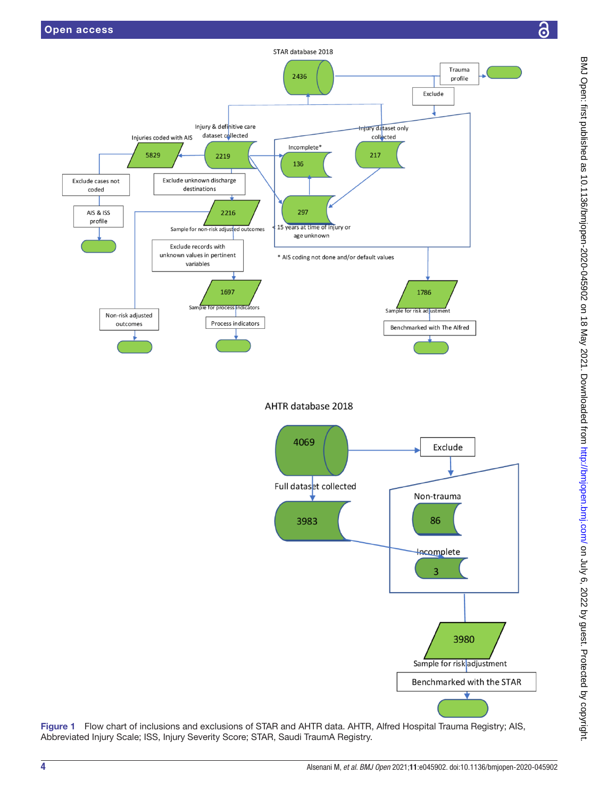

AHTR database 2018



<span id="page-3-0"></span>Figure 1 Flow chart of inclusions and exclusions of STAR and AHTR data. AHTR, Alfred Hospital Trauma Registry; AIS, Abbreviated Injury Scale; ISS, Injury Severity Score; STAR, Saudi TraumA Registry.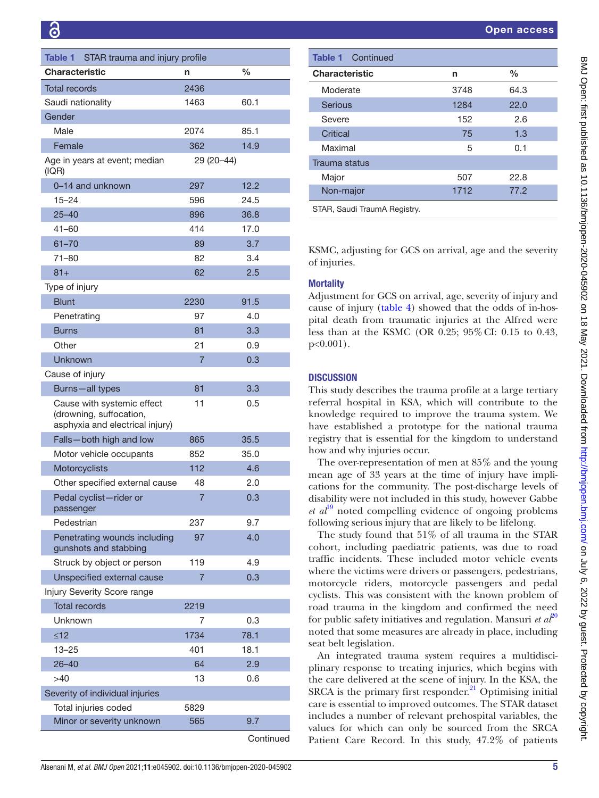<span id="page-4-0"></span>

| Table 1<br>STAR trauma and injury profile                                                |                |      |  |
|------------------------------------------------------------------------------------------|----------------|------|--|
| <b>Characteristic</b>                                                                    | n              | $\%$ |  |
| <b>Total records</b>                                                                     | 2436           |      |  |
| Saudi nationality                                                                        | 1463           | 60.1 |  |
| Gender                                                                                   |                |      |  |
| Male                                                                                     | 2074           | 85.1 |  |
| Female                                                                                   | 362            | 14.9 |  |
| Age in years at event; median<br>(IQR)                                                   | 29 (20 - 44)   |      |  |
| 0-14 and unknown                                                                         | 297            | 12.2 |  |
| $15 - 24$                                                                                | 596            | 24.5 |  |
| $25 - 40$                                                                                | 896            | 36.8 |  |
| 41-60                                                                                    | 414            | 17.0 |  |
| $61 - 70$                                                                                | 89             | 3.7  |  |
| 71-80                                                                                    | 82             | 3.4  |  |
| $81 +$                                                                                   | 62             | 2.5  |  |
| Type of injury                                                                           |                |      |  |
| <b>Blunt</b>                                                                             | 2230           | 91.5 |  |
| Penetrating                                                                              | 97             | 4.0  |  |
| Burns                                                                                    | 81             | 3.3  |  |
| Other                                                                                    | 21             | 0.9  |  |
| Unknown                                                                                  | 7              | 0.3  |  |
| Cause of injury                                                                          |                |      |  |
| Burns-all types                                                                          | 81             | 3.3  |  |
| Cause with systemic effect<br>(drowning, suffocation,<br>asphyxia and electrical injury) | 11             | 0.5  |  |
| Falls-both high and low                                                                  | 865            | 35.5 |  |
| Motor vehicle occupants                                                                  | 852            | 35.0 |  |
| Motorcyclists                                                                            | 112            | 4.6  |  |
| Other specified external cause                                                           | 48             | 2.0  |  |
| Pedal cyclist-rider or<br>passenger                                                      | $\overline{7}$ | 0.3  |  |
| Pedestrian                                                                               | 237            | 9.7  |  |
| Penetrating wounds including<br>gunshots and stabbing                                    | 97             | 4.0  |  |
| Struck by object or person                                                               | 119            | 4.9  |  |
| Unspecified external cause                                                               | $\overline{7}$ | 0.3  |  |
| Injury Severity Score range                                                              |                |      |  |
| <b>Total records</b>                                                                     | 2219           |      |  |
| Unknown                                                                                  | 7              | 0.3  |  |
| $\leq 12$                                                                                | 1734           | 78.1 |  |
| 13–25                                                                                    | 401            | 18.1 |  |
| $26 - 40$                                                                                | 64             | 2.9  |  |
| >40                                                                                      | 13             | 0.6  |  |
| Severity of individual injuries                                                          |                |      |  |
| Total injuries coded                                                                     | 5829           |      |  |
| Minor or severity unknown                                                                | 565            | 9.7  |  |
|                                                                                          |                |      |  |

**Continued** 

| <b>Table 1</b> Continued |      |      |
|--------------------------|------|------|
| <b>Characteristic</b>    | n    | $\%$ |
| Moderate                 | 3748 | 64.3 |
| <b>Serious</b>           | 1284 | 22.0 |
| Severe                   | 152  | 2.6  |
| Critical                 | 75   | 1.3  |
| Maximal                  | 5    | 0.1  |
| Trauma status            |      |      |
| Major                    | 507  | 22.8 |
| Non-major                | 1712 | 77.2 |

STAR, Saudi TraumA Registry.

KSMC, adjusting for GCS on arrival, age and the severity of injuries.

# **Mortality**

Adjustment for GCS on arrival, age, severity of injury and cause of injury [\(table](#page-6-0) 4) showed that the odds of in-hospital death from traumatic injuries at the Alfred were less than at the KSMC (OR 0.25; 95%CI: 0.15 to 0.43, p<0.001).

## **DISCUSSION**

This study describes the trauma profile at a large tertiary referral hospital in KSA, which will contribute to the knowledge required to improve the trauma system. We have established a prototype for the national trauma registry that is essential for the kingdom to understand how and why injuries occur.

The over-representation of men at 85% and the young mean age of 33 years at the time of injury have implications for the community. The post-discharge levels of disability were not included in this study, however Gabbe *et al*[19](#page-8-14) noted compelling evidence of ongoing problems following serious injury that are likely to be lifelong.

The study found that 51% of all trauma in the STAR cohort, including paediatric patients, was due to road traffic incidents. These included motor vehicle events where the victims were drivers or passengers, pedestrians, motorcycle riders, motorcycle passengers and pedal cyclists. This was consistent with the known problem of road trauma in the kingdom and confirmed the need for public safety initiatives and regulation. Mansuri *et*  $a\ell^0$ noted that some measures are already in place, including seat belt legislation.

An integrated trauma system requires a multidisciplinary response to treating injuries, which begins with the care delivered at the scene of injury. In the KSA, the SRCA is the primary first responder. $21$  Optimising initial care is essential to improved outcomes. The STAR dataset includes a number of relevant prehospital variables, the values for which can only be sourced from the SRCA Patient Care Record. In this study, 47.2% of patients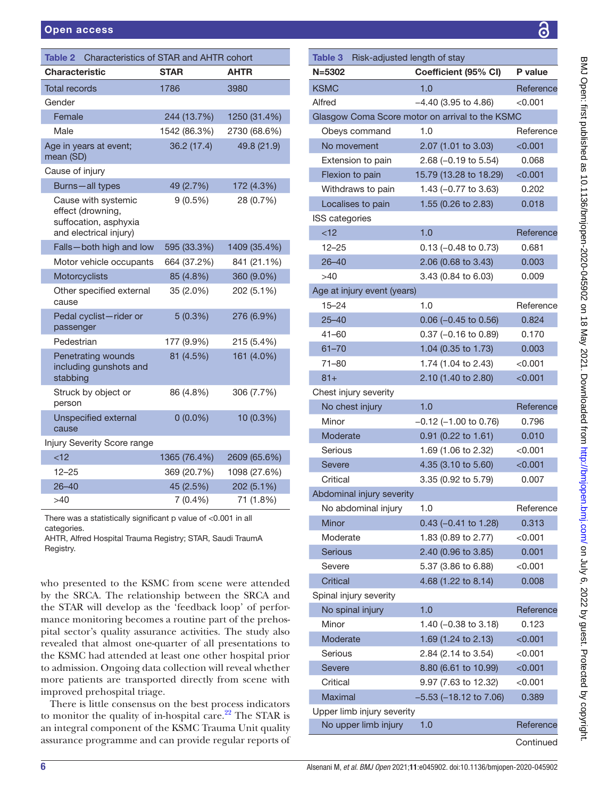<span id="page-5-0"></span>

| Characteristics of STAR and AHTR cohort<br>Table 2                                          |              |              |  |
|---------------------------------------------------------------------------------------------|--------------|--------------|--|
| <b>Characteristic</b>                                                                       | <b>STAR</b>  | <b>AHTR</b>  |  |
| <b>Total records</b>                                                                        | 1786         | 3980         |  |
| Gender                                                                                      |              |              |  |
| Female                                                                                      | 244 (13.7%)  | 1250 (31.4%) |  |
| Male                                                                                        | 1542 (86.3%) | 2730 (68.6%) |  |
| Age in years at event;<br>mean (SD)                                                         | 36.2 (17.4)  | 49.8 (21.9)  |  |
| Cause of injury                                                                             |              |              |  |
| Burns-all types                                                                             | 49 (2.7%)    | 172 (4.3%)   |  |
| Cause with systemic<br>effect (drowning,<br>suffocation, asphyxia<br>and electrical injury) | $9(0.5\%)$   | 28 (0.7%)    |  |
| Falls-both high and low                                                                     | 595 (33.3%)  | 1409 (35.4%) |  |
| Motor vehicle occupants                                                                     | 664 (37.2%)  | 841 (21.1%)  |  |
| Motorcyclists                                                                               | 85 (4.8%)    | 360 (9.0%)   |  |
| Other specified external<br>cause                                                           | 35 (2.0%)    | 202 (5.1%)   |  |
| Pedal cyclist-rider or<br>passenger                                                         | 5(0.3%)      | 276 (6.9%)   |  |
| Pedestrian                                                                                  | 177 (9.9%)   | 215 (5.4%)   |  |
| <b>Penetrating wounds</b><br>including gunshots and<br>stabbing                             | 81 (4.5%)    | 161 (4.0%)   |  |
| Struck by object or<br>person                                                               | 86 (4.8%)    | 306 (7.7%)   |  |
| <b>Unspecified external</b><br>cause                                                        | $0(0.0\%)$   | 10 (0.3%)    |  |
| Injury Severity Score range                                                                 |              |              |  |
| < 12                                                                                        | 1365 (76.4%) | 2609 (65.6%) |  |
| $12 - 25$                                                                                   | 369 (20.7%)  | 1098 (27.6%) |  |
| $26 - 40$                                                                                   | 45 (2.5%)    | 202 (5.1%)   |  |
| >40                                                                                         | $7(0.4\%)$   | 71 (1.8%)    |  |
| There was a statistically significant p value of <0.001 in all                              |              |              |  |

categories.

AHTR, Alfred Hospital Trauma Registry; STAR, Saudi TraumA Registry.

who presented to the KSMC from scene were attended by the SRCA. The relationship between the SRCA and the STAR will develop as the 'feedback loop' of performance monitoring becomes a routine part of the prehospital sector's quality assurance activities. The study also revealed that almost one-quarter of all presentations to the KSMC had attended at least one other hospital prior to admission. Ongoing data collection will reveal whether more patients are transported directly from scene with improved prehospital triage.

There is little consensus on the best process indicators to monitor the quality of in-hospital care. $22$  The STAR is an integral component of the KSMC Trauma Unit quality assurance programme and can provide regular reports of

<span id="page-5-1"></span>

| Table 3<br>Risk-adjusted length of stay         |                         |           |  |
|-------------------------------------------------|-------------------------|-----------|--|
| $N = 5302$                                      | Coefficient (95% CI)    | P value   |  |
| <b>KSMC</b>                                     | 1.0                     | Reference |  |
| Alfred                                          | $-4.40$ (3.95 to 4.86)  | $<$ 0.001 |  |
| Glasgow Coma Score motor on arrival to the KSMC |                         |           |  |
| Obeys command                                   | 1.0                     | Reference |  |
| No movement                                     | 2.07 (1.01 to 3.03)     | < 0.001   |  |
| Extension to pain                               | 2.68 (-0.19 to 5.54)    | 0.068     |  |
| Flexion to pain                                 | 15.79 (13.28 to 18.29)  | < 0.001   |  |
| Withdraws to pain                               | 1.43 $(-0.77$ to 3.63)  | 0.202     |  |
| Localises to pain                               | 1.55 (0.26 to 2.83)     | 0.018     |  |
| ISS categories                                  |                         |           |  |
| < 12                                            | 1.0                     | Reference |  |
| $12 - 25$                                       | $0.13$ (-0.48 to 0.73)  | 0.681     |  |
| $26 - 40$                                       | 2.06 (0.68 to 3.43)     | 0.003     |  |
| >40                                             | 3.43 (0.84 to 6.03)     | 0.009     |  |
| Age at injury event (years)                     |                         |           |  |
| $15 - 24$                                       | 1.0                     | Reference |  |
| $25 - 40$                                       | $0.06$ (-0.45 to 0.56)  | 0.824     |  |
| $41 - 60$                                       | $0.37$ (-0.16 to 0.89)  | 0.170     |  |
| $61 - 70$                                       | 1.04 (0.35 to 1.73)     | 0.003     |  |
| $71 - 80$                                       | 1.74 (1.04 to 2.43)     | $<$ 0.001 |  |
| $81 +$                                          | 2.10 (1.40 to 2.80)     | < 0.001   |  |
| Chest injury severity                           |                         |           |  |
| No chest injury                                 | 1.0                     | Reference |  |
| Minor                                           | $-0.12$ (-1.00 to 0.76) | 0.796     |  |
| Moderate                                        | 0.91 (0.22 to 1.61)     | 0.010     |  |
| Serious                                         | 1.69 (1.06 to 2.32)     | $<$ 0.001 |  |
| <b>Severe</b>                                   | 4.35 (3.10 to 5.60)     | < 0.001   |  |
| Critical                                        | 3.35 (0.92 to 5.79)     | 0.007     |  |
| Abdominal injury severity                       |                         |           |  |
| No abdominal injury                             | 1.0                     | Reference |  |
| Minor                                           | $0.43$ (-0.41 to 1.28)  | 0.313     |  |
| Moderate                                        | 1.83 (0.89 to 2.77)     | < 0.001   |  |
| Serious                                         | 2.40 (0.96 to 3.85)     | 0.001     |  |
| Severe                                          | 5.37 (3.86 to 6.88)     | < 0.001   |  |
| <b>Critical</b>                                 | 4.68 (1.22 to 8.14)     | 0.008     |  |
| Spinal injury severity                          |                         |           |  |
| No spinal injury                                | 1.0                     | Reference |  |
| Minor                                           | 1.40 (-0.38 to 3.18)    | 0.123     |  |
| Moderate                                        | 1.69 (1.24 to 2.13)     | < 0.001   |  |
| Serious                                         | 2.84 (2.14 to 3.54)     | < 0.001   |  |
| Severe                                          | 8.80 (6.61 to 10.99)    | < 0.001   |  |
| Critical                                        | 9.97 (7.63 to 12.32)    | < 0.001   |  |
| <b>Maximal</b>                                  | -5.53 (-18.12 to 7.06)  | 0.389     |  |
| Upper limb injury severity                      |                         |           |  |
| No upper limb injury                            | 1.0                     | Reference |  |

**Continued**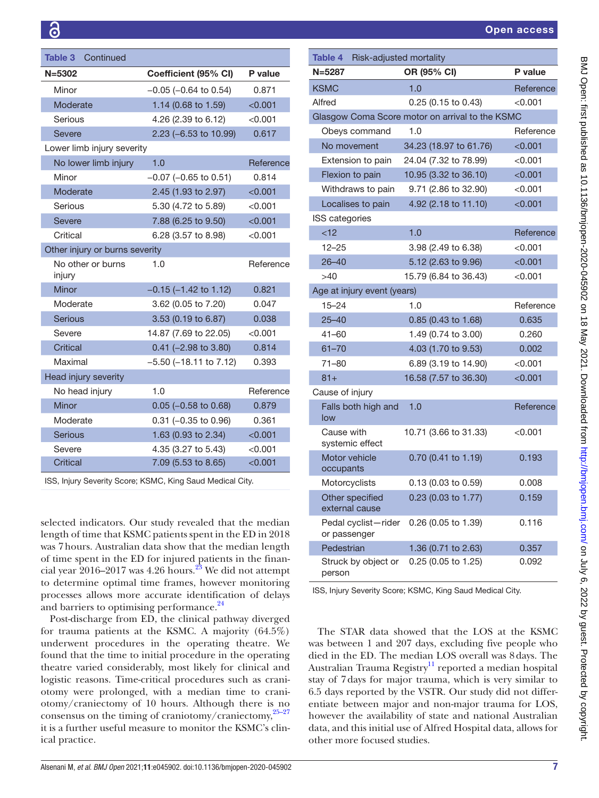| <b>Table 3 Continued</b>       |                                |           | Table 4         | Risk-adjusted mortality       |            |
|--------------------------------|--------------------------------|-----------|-----------------|-------------------------------|------------|
| $N = 5302$                     | Coefficient (95% CI)           | P value   | $N = 5287$      |                               | OR (95%    |
| Minor                          | $-0.05$ ( $-0.64$ to 0.54)     | 0.871     | <b>KSMC</b>     |                               | 1.0        |
| Moderate                       | 1.14 (0.68 to 1.59)            | < 0.001   | Alfred          |                               | 0.25(0.1)  |
| Serious                        | 4.26 (2.39 to 6.12)            | < 0.001   |                 | Glasgow Coma Score motor on a |            |
| Severe                         | 2.23 (-6.53 to 10.99)          | 0.617     |                 | Obeys command                 | 1.0        |
| Lower limb injury severity     |                                |           |                 | No movement                   | 34.23 (18. |
| No lower limb injury           | 1.0                            | Reference |                 | Extension to pain             | 24.04 (7.3 |
| Minor                          | $-0.07$ ( $-0.65$ to 0.51)     | 0.814     |                 | Flexion to pain               | 10.95 (3.3 |
| Moderate                       | 2.45 (1.93 to 2.97)            | < 0.001   |                 | Withdraws to pain             | 9.71(2.8)  |
| Serious                        | 5.30 (4.72 to 5.89)            | < 0.001   |                 | Localises to pain             | 4.92(2.1)  |
| Severe                         | 7.88 (6.25 to 9.50)            | < 0.001   | ISS categories  |                               |            |
| Critical                       | 6.28 (3.57 to 8.98)            | < 0.001   | < 12            |                               | 1.0        |
| Other injury or burns severity |                                |           | $12 - 25$       |                               | 3.98(2.4)  |
| No other or burns              | 1.0                            | Reference | $26 - 40$       |                               | 5.12(2.6)  |
| injury                         |                                |           | >40             |                               | 15.79 (6.8 |
| Minor                          | $-0.15$ ( $-1.42$ to 1.12)     | 0.821     |                 | Age at injury event (years)   |            |
| Moderate                       | 3.62 (0.05 to 7.20)            | 0.047     | $15 - 24$       |                               | 1.0        |
| <b>Serious</b>                 | 3.53 (0.19 to 6.87)            | 0.038     | $25 - 40$       |                               | 0.85(0.4)  |
| Severe                         | 14.87 (7.69 to 22.05)          | < 0.001   | $41 - 60$       |                               | 1.49(0.7)  |
| <b>Critical</b>                | $0.41$ (-2.98 to 3.80)         | 0.814     | $61 - 70$       |                               | 4.03 (1.7  |
| Maximal                        | $-5.50$ ( $-18.11$ to $7.12$ ) | 0.393     | $71 - 80$       |                               | 6.89(3.1)  |
| Head injury severity           |                                |           | $81 +$          |                               | 16.58 (7.5 |
| No head injury                 | 1.0                            | Reference | Cause of injury |                               |            |
| Minor                          | $0.05$ (-0.58 to 0.68)         | 0.879     |                 | Falls both high and           | 1.0        |
| Moderate                       | $0.31$ (-0.35 to 0.96)         | 0.361     | low             |                               |            |
| <b>Serious</b>                 | 1.63 (0.93 to 2.34)            | < 0.001   | Cause with      |                               | 10.71 (3.6 |
| Severe                         | 4.35 (3.27 to 5.43)            | < 0.001   |                 | systemic effect               |            |
| <b>Critical</b>                | 7.09 (5.53 to 8.65)            | < 0.001   | occupants       | Motor vehicle                 | 0.70(0.4)  |
|                                |                                |           |                 |                               |            |

ISS, Injury Severity Score; KSMC, King Saud Medical City.

selected indicators. Our study revealed that the median length of time that KSMC patients spent in the ED in 2018 was 7hours. Australian data show that the median length of time spent in the ED for injured patients in the financial year  $2016-2017$  was 4.26 hours.<sup>23</sup> We did not attempt to determine optimal time frames, however monitoring processes allows more accurate identification of delays and barriers to optimising performance.<sup>24</sup>

Post-discharge from ED, the clinical pathway diverged for trauma patients at the KSMC. A majority (64.5%) underwent procedures in the operating theatre. We found that the time to initial procedure in the operating theatre varied considerably, most likely for clinical and logistic reasons. Time-critical procedures such as craniotomy were prolonged, with a median time to craniotomy/craniectomy of 10 hours. Although there is no consensus on the timing of craniotomy/craniectomy, $25-27$ it is a further useful measure to monitor the KSMC's clinical practice.

<span id="page-6-0"></span>

| Table 4 Risk-adjusted mortality     |                                                 |               |  |
|-------------------------------------|-------------------------------------------------|---------------|--|
| $N = 5287$                          | OR (95% CI)                                     | P value       |  |
| <b>KSMC</b>                         | 1.0                                             | Reference     |  |
| Alfred                              | 0.25 (0.15 to 0.43)                             | $<$ 0.001 $<$ |  |
|                                     | Glasgow Coma Score motor on arrival to the KSMC |               |  |
| Obeys command                       | 1.0                                             | Reference     |  |
| No movement                         | 34.23 (18.97 to 61.76)                          | < 0.001       |  |
| Extension to pain                   | 24.04 (7.32 to 78.99)                           | $<$ 0.001     |  |
| Flexion to pain                     | 10.95 (3.32 to 36.10)                           | < 0.001       |  |
| Withdraws to pain                   | 9.71 (2.86 to 32.90)                            | $<$ 0.001     |  |
| Localises to pain                   | 4.92 (2.18 to 11.10)                            | < 0.001       |  |
| ISS categories                      |                                                 |               |  |
| < 12                                | 1.0                                             | Reference     |  |
| $12 - 25$                           | 3.98 (2.49 to 6.38)                             | $<$ 0.001     |  |
| $26 - 40$                           | 5.12 (2.63 to 9.96)                             | < 0.001       |  |
| >40                                 | 15.79 (6.84 to 36.43)                           | < 0.001       |  |
| Age at injury event (years)         |                                                 |               |  |
| $15 - 24$                           | 1.0                                             | Reference     |  |
| $25 - 40$                           | 0.85 (0.43 to 1.68)                             | 0.635         |  |
| $41 - 60$                           | 1.49 (0.74 to 3.00)                             | 0.260         |  |
| $61 - 70$                           | 4.03 (1.70 to 9.53)                             | 0.002         |  |
| $71 - 80$                           | 6.89 (3.19 to 14.90)                            | < 0.001       |  |
| $81 +$                              | 16.58 (7.57 to 36.30)                           | < 0.001       |  |
| Cause of injury                     |                                                 |               |  |
| Falls both high and<br>low          | 1.0                                             | Reference     |  |
| Cause with<br>systemic effect       | 10.71 (3.66 to 31.33)                           | $<$ 0.001 $<$ |  |
| Motor vehicle<br>occupants          | 0.70 (0.41 to 1.19)                             | 0.193         |  |
| Motorcyclists                       | 0.13 (0.03 to 0.59)                             | 0.008         |  |
| Other specified<br>external cause   | 0.23 (0.03 to 1.77)                             | 0.159         |  |
| Pedal cyclist-rider<br>or passenger | 0.26 (0.05 to 1.39)                             | 0.116         |  |
| Pedestrian                          | 1.36 (0.71 to 2.63)                             | 0.357         |  |
| Struck by object or<br>person       | 0.25 (0.05 to 1.25)                             | 0.092         |  |

ISS, Injury Severity Score; KSMC, King Saud Medical City.

The STAR data showed that the LOS at the KSMC was between 1 and 207 days, excluding five people who died in the ED. The median LOS overall was 8days. The Australian Trauma Registry<sup>[11](#page-8-21)</sup> reported a median hospital stay of 7days for major trauma, which is very similar to 6.5 days reported by the VSTR. Our study did not differentiate between major and non-major trauma for LOS, however the availability of state and national Australian data, and this initial use of Alfred Hospital data, allows for other more focused studies.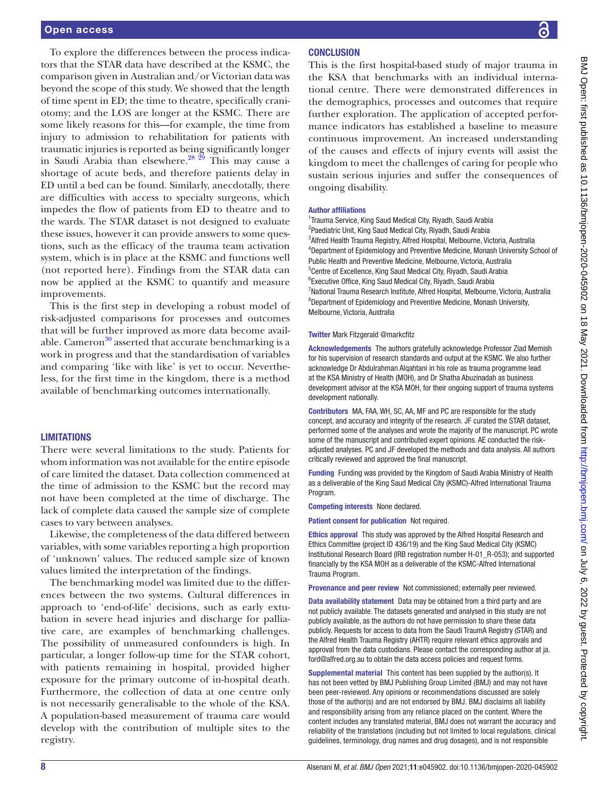To explore the differences between the process indicators that the STAR data have described at the KSMC, the comparison given in Australian and/or Victorian data was beyond the scope of this study. We showed that the length of time spent in ED; the time to theatre, specifically craniotomy; and the LOS are longer at the KSMC. There are some likely reasons for this—for example, the time from injury to admission to rehabilitation for patients with traumatic injuries is reported as being significantly longer in Saudi Arabia than elsewhere. $^{28\,29}$  This may cause a shortage of acute beds, and therefore patients delay in ED until a bed can be found. Similarly, anecdotally, there are difficulties with access to specialty surgeons, which impedes the flow of patients from ED to theatre and to the wards. The STAR dataset is not designed to evaluate these issues, however it can provide answers to some questions, such as the efficacy of the trauma team activation system, which is in place at the KSMC and functions well (not reported here). Findings from the STAR data can now be applied at the KSMC to quantify and measure improvements.

This is the first step in developing a robust model of risk-adjusted comparisons for processes and outcomes that will be further improved as more data become available. Cameron<sup>30</sup> asserted that accurate benchmarking is a work in progress and that the standardisation of variables and comparing 'like with like' is yet to occur. Nevertheless, for the first time in the kingdom, there is a method available of benchmarking outcomes internationally.

## **LIMITATIONS**

There were several limitations to the study. Patients for whom information was not available for the entire episode of care limited the dataset. Data collection commenced at the time of admission to the KSMC but the record may not have been completed at the time of discharge. The lack of complete data caused the sample size of complete cases to vary between analyses.

Likewise, the completeness of the data differed between variables, with some variables reporting a high proportion of 'unknown' values. The reduced sample size of known values limited the interpretation of the findings.

The benchmarking model was limited due to the differences between the two systems. Cultural differences in approach to 'end-of-life' decisions, such as early extubation in severe head injuries and discharge for palliative care, are examples of benchmarking challenges. The possibility of unmeasured confounders is high. In particular, a longer follow-up time for the STAR cohort, with patients remaining in hospital, provided higher exposure for the primary outcome of in-hospital death. Furthermore, the collection of data at one centre only is not necessarily generalisable to the whole of the KSA. A population-based measurement of trauma care would develop with the contribution of multiple sites to the registry.

# **CONCLUSION**

This is the first hospital-based study of major trauma in the KSA that benchmarks with an individual international centre. There were demonstrated differences in the demographics, processes and outcomes that require further exploration. The application of accepted performance indicators has established a baseline to measure continuous improvement. An increased understanding of the causes and effects of injury events will assist the kingdom to meet the challenges of caring for people who sustain serious injuries and suffer the consequences of ongoing disability.

#### Author affiliations

<sup>1</sup>Trauma Service, King Saud Medical City, Riyadh, Saudi Arabia <sup>2</sup>Paediatric Unit, King Saud Medical City, Riyadh, Saudi Arabia 3 Alfred Health Trauma Registry, Alfred Hospital, Melbourne, Victoria, Australia 4 Department of Epidemiology and Preventive Medicine, Monash University School of Public Health and Preventive Medicine, Melbourne, Victoria, Australia 5 Centre of Excellence, King Saud Medical City, Riyadh, Saudi Arabia 6 Executive Office, King Saud Medical City, Riyadh, Saudi Arabia <sup>7</sup>National Trauma Research Institute, Alfred Hospital, Melbourne, Victoria, Australia 8 Department of Epidemiology and Preventive Medicine, Monash University, Melbourne, Victoria, Australia

#### Twitter Mark Fitzgerald [@markcfitz](https://twitter.com/markcfitz)

Acknowledgements The authors gratefully acknowledge Professor Ziad Memish for his supervision of research standards and output at the KSMC. We also further acknowledge Dr Abdulrahman Alqahtani in his role as trauma programme lead at the KSA Ministry of Health (MOH), and Dr Shatha Abuzinadah as business development advisor at the KSA MOH, for their ongoing support of trauma systems development nationally.

Contributors MA, FAA, WH, SC, AA, MF and PC are responsible for the study concept, and accuracy and integrity of the research. JF curated the STAR dataset, performed some of the analyses and wrote the majority of the manuscript. PC wrote some of the manuscript and contributed expert opinions. AE conducted the riskadjusted analyses. PC and JF developed the methods and data analysis. All authors critically reviewed and approved the final manuscript.

Funding Funding was provided by the Kingdom of Saudi Arabia Ministry of Health as a deliverable of the King Saud Medical City (KSMC)-Alfred International Trauma **Program** 

Competing interests None declared.

Patient consent for publication Not required.

Ethics approval This study was approved by the Alfred Hospital Research and Ethics Committee (project ID 436/19) and the King Saud Medical City (KSMC) Institutional Research Board (IRB registration number H-01\_R-053); and supported financially by the KSA MOH as a deliverable of the KSMC-Alfred International Trauma Program.

Provenance and peer review Not commissioned; externally peer reviewed.

Data availability statement Data may be obtained from a third party and are not publicly available. The datasets generated and analysed in this study are not publicly available, as the authors do not have permission to share these data publicly. Requests for access to data from the Saudi TraumA Registry (STAR) and the Alfred Health Trauma Registry (AHTR) require relevant ethics approvals and approval from the data custodians. Please contact the corresponding author at ja. ford@alfred.org.au to obtain the data access policies and request forms.

Supplemental material This content has been supplied by the author(s). It has not been vetted by BMJ Publishing Group Limited (BMJ) and may not have been peer-reviewed. Any opinions or recommendations discussed are solely those of the author(s) and are not endorsed by BMJ. BMJ disclaims all liability and responsibility arising from any reliance placed on the content. Where the content includes any translated material, BMJ does not warrant the accuracy and reliability of the translations (including but not limited to local regulations, clinical guidelines, terminology, drug names and drug dosages), and is not responsible